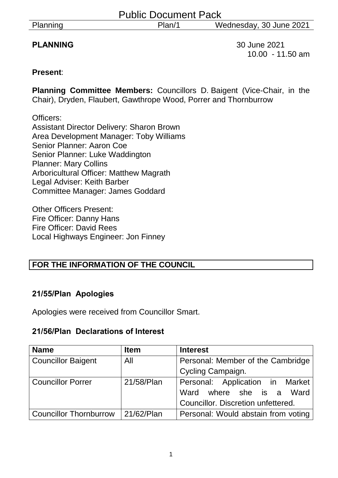| Planning |  |
|----------|--|
|          |  |

**PLANNING** 30 June 2021 10.00 - 11.50 am

#### **Present**:

**Planning Committee Members:** Councillors D. Baigent (Vice-Chair, in the Chair), Dryden, Flaubert, Gawthrope Wood, Porrer and Thornburrow

Officers: Assistant Director Delivery: Sharon Brown Area Development Manager: Toby Williams Senior Planner: Aaron Coe Senior Planner: Luke Waddington Planner: Mary Collins Arboricultural Officer: Matthew Magrath Legal Adviser: Keith Barber Committee Manager: James Goddard

Other Officers Present: Fire Officer: Danny Hans Fire Officer: David Rees Local Highways Engineer: Jon Finney

# **FOR THE INFORMATION OF THE COUNCIL**

# **21/55/Plan Apologies**

Apologies were received from Councillor Smart.

#### **21/56/Plan Declarations of Interest**

| <b>Name</b>                   | <b>Item</b> | <b>Interest</b>                     |  |
|-------------------------------|-------------|-------------------------------------|--|
| <b>Councillor Baigent</b>     | All         | Personal: Member of the Cambridge   |  |
|                               |             | Cycling Campaign.                   |  |
| <b>Councillor Porrer</b>      | 21/58/Plan  | Personal: Application in Market     |  |
|                               |             | where she is a Ward<br>Ward         |  |
|                               |             | Councillor. Discretion unfettered.  |  |
| <b>Councillor Thornburrow</b> | 21/62/Plan  | Personal: Would abstain from voting |  |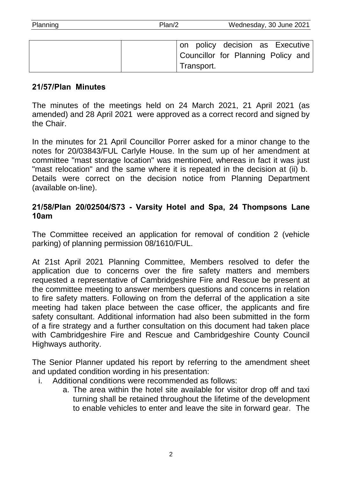| Planning | Plan/2     | Wednesday, 30 June 2021            |
|----------|------------|------------------------------------|
|          |            |                                    |
|          |            | on policy decision as Executive    |
|          |            | Councillor for Planning Policy and |
|          | Transport. |                                    |

#### **21/57/Plan Minutes**

The minutes of the meetings held on 24 March 2021, 21 April 2021 (as amended) and 28 April 2021 were approved as a correct record and signed by the Chair.

In the minutes for 21 April Councillor Porrer asked for a minor change to the notes for 20/03843/FUL Carlyle House. In the sum up of her amendment at committee "mast storage location" was mentioned, whereas in fact it was just "mast relocation" and the same where it is repeated in the decision at (ii) b. Details were correct on the decision notice from Planning Department (available on-line).

#### **21/58/Plan 20/02504/S73 - Varsity Hotel and Spa, 24 Thompsons Lane 10am**

The Committee received an application for removal of condition 2 (vehicle parking) of planning permission 08/1610/FUL.

At 21st April 2021 Planning Committee, Members resolved to defer the application due to concerns over the fire safety matters and members requested a representative of Cambridgeshire Fire and Rescue be present at the committee meeting to answer members questions and concerns in relation to fire safety matters. Following on from the deferral of the application a site meeting had taken place between the case officer, the applicants and fire safety consultant. Additional information had also been submitted in the form of a fire strategy and a further consultation on this document had taken place with Cambridgeshire Fire and Rescue and Cambridgeshire County Council Highways authority.

The Senior Planner updated his report by referring to the amendment sheet and updated condition wording in his presentation:

- i. Additional conditions were recommended as follows:
	- a. The area within the hotel site available for visitor drop off and taxi turning shall be retained throughout the lifetime of the development to enable vehicles to enter and leave the site in forward gear. The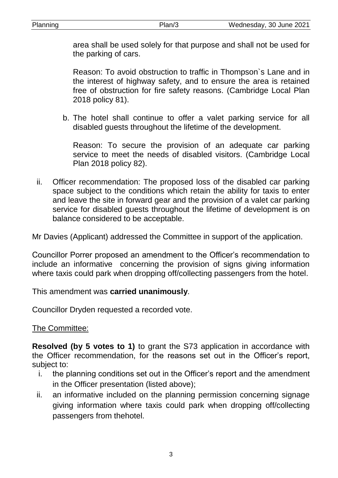| annına |  |  |
|--------|--|--|
|        |  |  |

area shall be used solely for that purpose and shall not be used for the parking of cars.

Reason: To avoid obstruction to traffic in Thompson`s Lane and in the interest of highway safety, and to ensure the area is retained free of obstruction for fire safety reasons. (Cambridge Local Plan 2018 policy 81).

b. The hotel shall continue to offer a valet parking service for all disabled guests throughout the lifetime of the development.

Reason: To secure the provision of an adequate car parking service to meet the needs of disabled visitors. (Cambridge Local Plan 2018 policy 82).

ii. Officer recommendation: The proposed loss of the disabled car parking space subject to the conditions which retain the ability for taxis to enter and leave the site in forward gear and the provision of a valet car parking service for disabled guests throughout the lifetime of development is on balance considered to be acceptable.

Mr Davies (Applicant) addressed the Committee in support of the application.

Councillor Porrer proposed an amendment to the Officer's recommendation to include an informative concerning the provision of signs giving information where taxis could park when dropping off/collecting passengers from the hotel.

This amendment was **carried unanimously**.

Councillor Dryden requested a recorded vote.

The Committee:

**Resolved (by 5 votes to 1)** to grant the S73 application in accordance with the Officer recommendation, for the reasons set out in the Officer's report, subject to:

- i. the planning conditions set out in the Officer's report and the amendment in the Officer presentation (listed above);
- ii. an informative included on the planning permission concerning signage giving information where taxis could park when dropping off/collecting passengers from thehotel.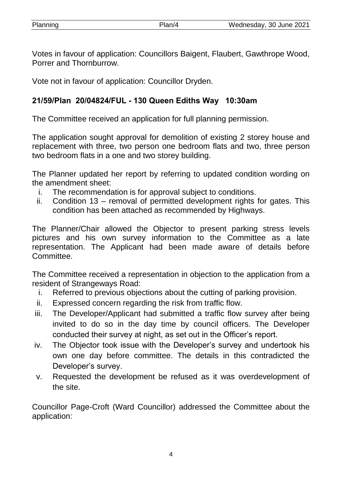| Planning | Plan/4 | Wednesday, 30 June 2021 |
|----------|--------|-------------------------|
|          |        |                         |

Votes in favour of application: Councillors Baigent, Flaubert, Gawthrope Wood, Porrer and Thornburrow.

Vote not in favour of application: Councillor Dryden.

# **21/59/Plan 20/04824/FUL - 130 Queen Ediths Way 10:30am**

The Committee received an application for full planning permission.

The application sought approval for demolition of existing 2 storey house and replacement with three, two person one bedroom flats and two, three person two bedroom flats in a one and two storey building.

The Planner updated her report by referring to updated condition wording on the amendment sheet:

- i. The recommendation is for approval subject to conditions.
- ii. Condition 13 removal of permitted development rights for gates. This condition has been attached as recommended by Highways.

The Planner/Chair allowed the Objector to present parking stress levels pictures and his own survey information to the Committee as a late representation. The Applicant had been made aware of details before Committee.

The Committee received a representation in objection to the application from a resident of Strangeways Road:

- i. Referred to previous objections about the cutting of parking provision.
- ii. Expressed concern regarding the risk from traffic flow.
- iii. The Developer/Applicant had submitted a traffic flow survey after being invited to do so in the day time by council officers. The Developer conducted their survey at night, as set out in the Officer's report.
- iv. The Objector took issue with the Developer's survey and undertook his own one day before committee. The details in this contradicted the Developer's survey.
- v. Requested the development be refused as it was overdevelopment of the site.

Councillor Page-Croft (Ward Councillor) addressed the Committee about the application: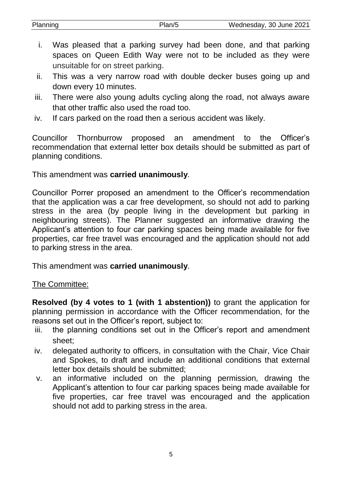| Planning | Wednesday, 30 June 2021 |
|----------|-------------------------|
|          |                         |

- i. Was pleased that a parking survey had been done, and that parking spaces on Queen Edith Way were not to be included as they were unsuitable for on street parking.
- ii. This was a very narrow road with double decker buses going up and down every 10 minutes.
- iii. There were also young adults cycling along the road, not always aware that other traffic also used the road too.
- iv. If cars parked on the road then a serious accident was likely.

Councillor Thornburrow proposed an amendment to the Officer's recommendation that external letter box details should be submitted as part of planning conditions.

This amendment was **carried unanimously**.

Councillor Porrer proposed an amendment to the Officer's recommendation that the application was a car free development, so should not add to parking stress in the area (by people living in the development but parking in neighbouring streets). The Planner suggested an informative drawing the Applicant's attention to four car parking spaces being made available for five properties, car free travel was encouraged and the application should not add to parking stress in the area.

This amendment was **carried unanimously**.

## The Committee:

**Resolved (by 4 votes to 1 (with 1 abstention))** to grant the application for planning permission in accordance with the Officer recommendation, for the reasons set out in the Officer's report, subject to:

- iii. the planning conditions set out in the Officer's report and amendment sheet;
- iv. delegated authority to officers, in consultation with the Chair, Vice Chair and Spokes, to draft and include an additional conditions that external letter box details should be submitted;
- v. an informative included on the planning permission, drawing the Applicant's attention to four car parking spaces being made available for five properties, car free travel was encouraged and the application should not add to parking stress in the area.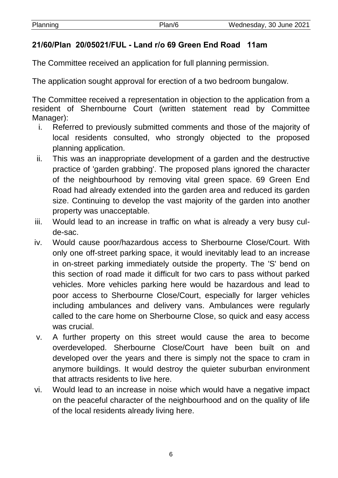| Planning | Plan/6 | Wednesday, 30 June 2021 |
|----------|--------|-------------------------|
|          |        |                         |

# **21/60/Plan 20/05021/FUL - Land r/o 69 Green End Road 11am**

The Committee received an application for full planning permission.

The application sought approval for erection of a two bedroom bungalow.

The Committee received a representation in objection to the application from a resident of Shernbourne Court (written statement read by Committee Manager):

- i. Referred to previously submitted comments and those of the majority of local residents consulted, who strongly objected to the proposed planning application.
- ii. This was an inappropriate development of a garden and the destructive practice of 'garden grabbing'. The proposed plans ignored the character of the neighbourhood by removing vital green space. 69 Green End Road had already extended into the garden area and reduced its garden size. Continuing to develop the vast majority of the garden into another property was unacceptable.
- iii. Would lead to an increase in traffic on what is already a very busy culde-sac.
- iv. Would cause poor/hazardous access to Sherbourne Close/Court. With only one off-street parking space, it would inevitably lead to an increase in on-street parking immediately outside the property. The 'S' bend on this section of road made it difficult for two cars to pass without parked vehicles. More vehicles parking here would be hazardous and lead to poor access to Sherbourne Close/Court, especially for larger vehicles including ambulances and delivery vans. Ambulances were regularly called to the care home on Sherbourne Close, so quick and easy access was crucial.
- v. A further property on this street would cause the area to become overdeveloped. Sherbourne Close/Court have been built on and developed over the years and there is simply not the space to cram in anymore buildings. It would destroy the quieter suburban environment that attracts residents to live here.
- vi. Would lead to an increase in noise which would have a negative impact on the peaceful character of the neighbourhood and on the quality of life of the local residents already living here.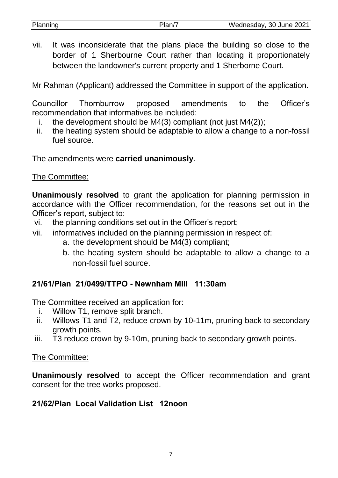| Planning | Plan/7 | Wednesday, 30 June 2021                                                                                         |
|----------|--------|-----------------------------------------------------------------------------------------------------------------|
|          |        |                                                                                                                 |
|          |        | rested to the contract of the contract of the contract of the contract of the contract of the contract of the c |

vii. It was inconsiderate that the plans place the building so close to the border of 1 Sherbourne Court rather than locating it proportionately between the landowner's current property and 1 Sherborne Court.

Mr Rahman (Applicant) addressed the Committee in support of the application.

Councillor Thornburrow proposed amendments to the Officer's recommendation that informatives be included:

- i. the development should be M4(3) compliant (not just M4(2));
- ii. the heating system should be adaptable to allow a change to a non-fossil fuel source.

The amendments were **carried unanimously**.

## The Committee:

**Unanimously resolved** to grant the application for planning permission in accordance with the Officer recommendation, for the reasons set out in the Officer's report, subject to:

- vi. the planning conditions set out in the Officer's report;
- vii. informatives included on the planning permission in respect of:
	- a. the development should be M4(3) compliant;
	- b. the heating system should be adaptable to allow a change to a non-fossil fuel source.

## **21/61/Plan 21/0499/TTPO - Newnham Mill 11:30am**

The Committee received an application for:

- i. Willow T1, remove split branch.
- ii. Willows T1 and T2, reduce crown by 10-11m, pruning back to secondary growth points.
- iii. T3 reduce crown by 9-10m, pruning back to secondary growth points.

## The Committee:

**Unanimously resolved** to accept the Officer recommendation and grant consent for the tree works proposed.

## **21/62/Plan Local Validation List 12noon**